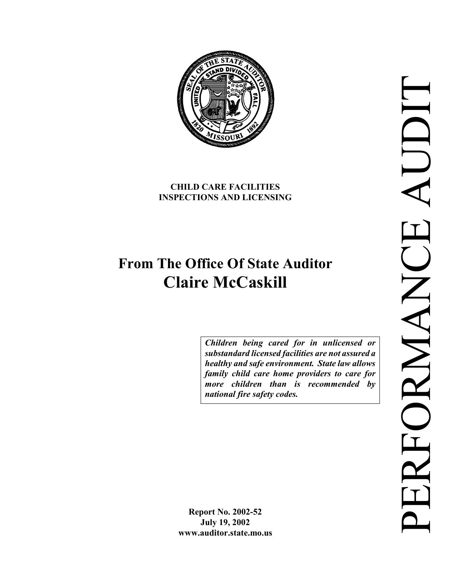**CHILD CARE FACILITIES** 

**INSPECTIONS AND LICENSING** 

# **From The Office Of State Auditor Claire McCaskill**

*Children being cared for in unlicensed or substandard licensed facilities are not assured a healthy and safe environment. State law allows family child care home providers to care for more children than is recommended by national fire safety codes.* 

**Report No. 2002-52 July 19, 2002 www.auditor.state.mo.us** 

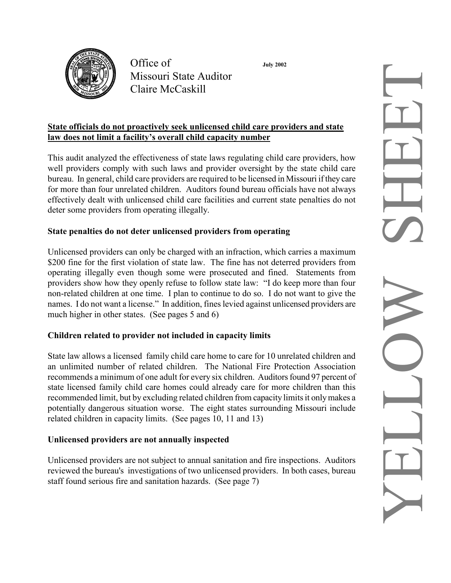

Office of **July 2002** Missouri State Auditor Claire McCaskill

#### **State officials do not proactively seek unlicensed child care providers and state law does not limit a facility's overall child capacity number**

This audit analyzed the effectiveness of state laws regulating child care providers, how well providers comply with such laws and provider oversight by the state child care bureau. In general, child care providers are required to be licensed in Missouri if they care for more than four unrelated children. Auditors found bureau officials have not always effectively dealt with unlicensed child care facilities and current state penalties do not deter some providers from operating illegally.

#### **State penalties do not deter unlicensed providers from operating**

Unlicensed providers can only be charged with an infraction, which carries a maximum \$200 fine for the first violation of state law. The fine has not deterred providers from operating illegally even though some were prosecuted and fined. Statements from providers show how they openly refuse to follow state law: "I do keep more than four non-related children at one time. I plan to continue to do so. I do not want to give the names. I do not want a license." In addition, fines levied against unlicensed providers are much higher in other states. (See pages 5 and 6)

#### **Children related to provider not included in capacity limits**

State law allows a licensed family child care home to care for 10 unrelated children and an unlimited number of related children. The National Fire Protection Association recommends a minimum of one adult for every six children. Auditors found 97 percent of state licensed family child care homes could already care for more children than this recommended limit, but by excluding related children from capacity limits it only makes a potentially dangerous situation worse. The eight states surrounding Missouri include related children in capacity limits. (See pages 10, 11 and 13)

#### **Unlicensed providers are not annually inspected**

Unlicensed providers are not subject to annual sanitation and fire inspections. Auditors reviewed the bureau's investigations of two unlicensed providers. In both cases, bureau staff found serious fire and sanitation hazards. (See page 7)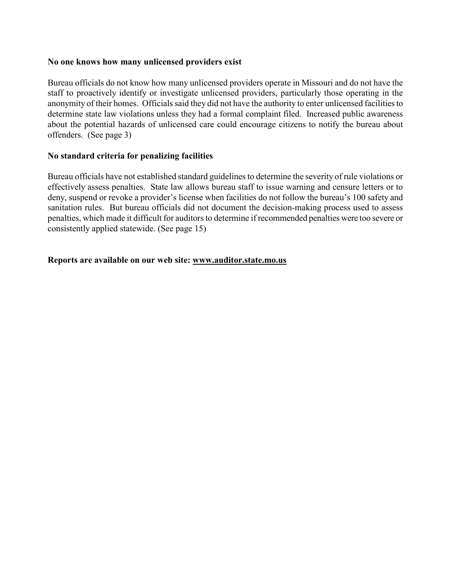#### **No one knows how many unlicensed providers exist**

Bureau officials do not know how many unlicensed providers operate in Missouri and do not have the staff to proactively identify or investigate unlicensed providers, particularly those operating in the anonymity of their homes. Officials said they did not have the authority to enter unlicensed facilities to determine state law violations unless they had a formal complaint filed. Increased public awareness about the potential hazards of unlicensed care could encourage citizens to notify the bureau about offenders. (See page 3)

#### **No standard criteria for penalizing facilities**

Bureau officials have not established standard guidelines to determine the severity of rule violations or effectively assess penalties. State law allows bureau staff to issue warning and censure letters or to deny, suspend or revoke a provider's license when facilities do not follow the bureau's 100 safety and sanitation rules. But bureau officials did not document the decision-making process used to assess penalties, which made it difficult for auditors to determine if recommended penalties were too severe or consistently applied statewide. (See page 15)

#### **Reports are available on our web site: www.auditor.state.mo.us**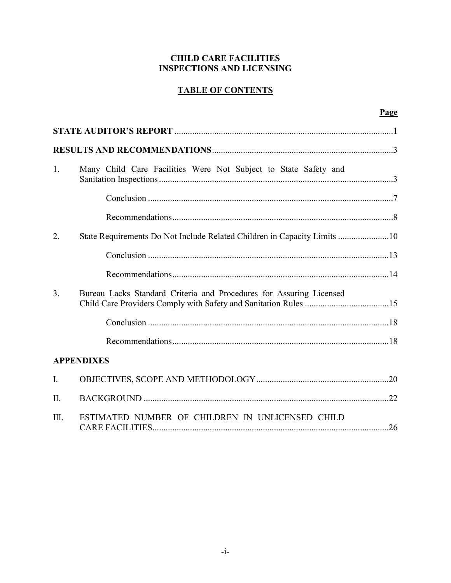#### **CHILD CARE FACILITIES INSPECTIONS AND LICENSING**

### **TABLE OF CONTENTS**

|                |                                                                          | Page |
|----------------|--------------------------------------------------------------------------|------|
|                |                                                                          |      |
|                |                                                                          |      |
| 1.             | Many Child Care Facilities Were Not Subject to State Safety and          |      |
|                |                                                                          |      |
|                |                                                                          |      |
| 2.             | State Requirements Do Not Include Related Children in Capacity Limits 10 |      |
|                |                                                                          |      |
|                |                                                                          |      |
| 3 <sub>1</sub> | Bureau Lacks Standard Criteria and Procedures for Assuring Licensed      |      |
|                |                                                                          |      |
|                |                                                                          |      |
|                | <b>APPENDIXES</b>                                                        |      |
| $I_{\cdot}$    |                                                                          |      |
| $\Pi$ .        |                                                                          |      |
| III.           | ESTIMATED NUMBER OF CHILDREN IN UNLICENSED CHILD                         |      |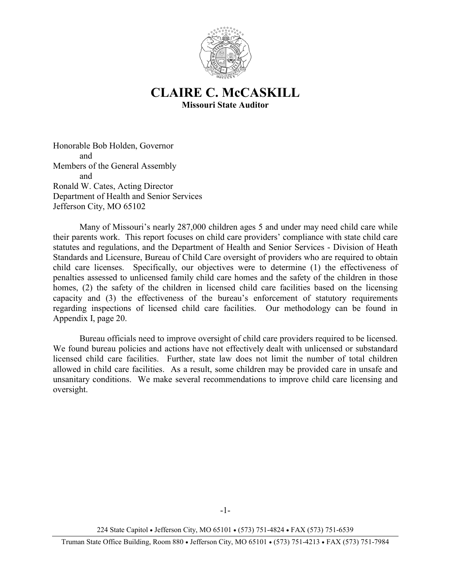

## **CLAIRE C. McCASKILL Missouri State Auditor**

Honorable Bob Holden, Governor and Members of the General Assembly and Ronald W. Cates, Acting Director Department of Health and Senior Services Jefferson City, MO 65102

 Many of Missouri's nearly 287,000 children ages 5 and under may need child care while their parents work. This report focuses on child care providers' compliance with state child care statutes and regulations, and the Department of Health and Senior Services - Division of Heath Standards and Licensure, Bureau of Child Care oversight of providers who are required to obtain child care licenses. Specifically, our objectives were to determine (1) the effectiveness of penalties assessed to unlicensed family child care homes and the safety of the children in those homes, (2) the safety of the children in licensed child care facilities based on the licensing capacity and (3) the effectiveness of the bureau's enforcement of statutory requirements regarding inspections of licensed child care facilities.Our methodology can be found in Appendix I, page 20.

 Bureau officials need to improve oversight of child care providers required to be licensed. We found bureau policies and actions have not effectively dealt with unlicensed or substandard licensed child care facilities. Further, state law does not limit the number of total children allowed in child care facilities. As a result, some children may be provided care in unsafe and unsanitary conditions. We make several recommendations to improve child care licensing and oversight.

224 State Capitol • Jefferson City, MO 65101 • (573) 751-4824 • FAX (573) 751-6539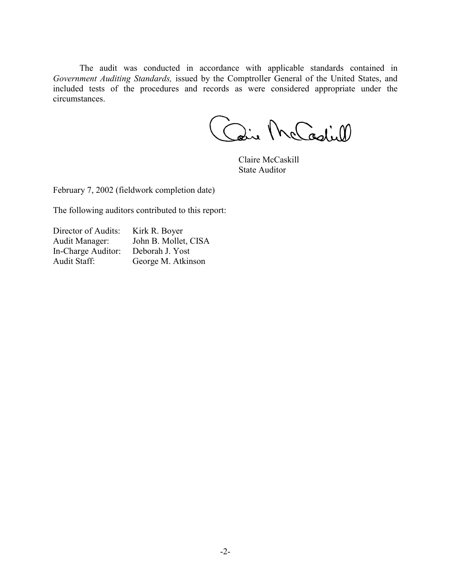The audit was conducted in accordance with applicable standards contained in *Government Auditing Standards,* issued by the Comptroller General of the United States, and included tests of the procedures and records as were considered appropriate under the circumstances.

aire McCadiell

 Claire McCaskill State Auditor

February 7, 2002 (fieldwork completion date)

The following auditors contributed to this report:

| Director of Audits: | Kirk R. Boyer        |
|---------------------|----------------------|
| Audit Manager:      | John B. Mollet, CISA |
| In-Charge Auditor:  | Deborah J. Yost      |
| Audit Staff:        | George M. Atkinson   |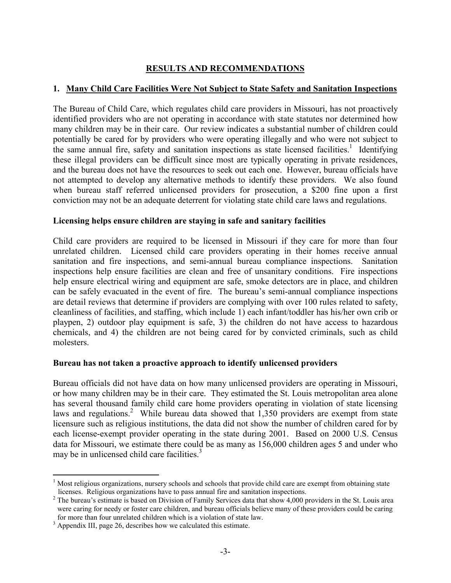#### **RESULTS AND RECOMMENDATIONS**

#### **1. Many Child Care Facilities Were Not Subject to State Safety and Sanitation Inspections**

The Bureau of Child Care, which regulates child care providers in Missouri, has not proactively identified providers who are not operating in accordance with state statutes nor determined how many children may be in their care. Our review indicates a substantial number of children could potentially be cared for by providers who were operating illegally and who were not subject to the same annual fire, safety and sanitation inspections as state licensed facilities.<sup>1</sup> Identifying these illegal providers can be difficult since most are typically operating in private residences, and the bureau does not have the resources to seek out each one. However, bureau officials have not attempted to develop any alternative methods to identify these providers. We also found when bureau staff referred unlicensed providers for prosecution, a \$200 fine upon a first conviction may not be an adequate deterrent for violating state child care laws and regulations.

#### **Licensing helps ensure children are staying in safe and sanitary facilities**

Child care providers are required to be licensed in Missouri if they care for more than four unrelated children. Licensed child care providers operating in their homes receive annual sanitation and fire inspections, and semi-annual bureau compliance inspections. Sanitation inspections help ensure facilities are clean and free of unsanitary conditions. Fire inspections help ensure electrical wiring and equipment are safe, smoke detectors are in place, and children can be safely evacuated in the event of fire. The bureau's semi-annual compliance inspections are detail reviews that determine if providers are complying with over 100 rules related to safety, cleanliness of facilities, and staffing, which include 1) each infant/toddler has his/her own crib or playpen, 2) outdoor play equipment is safe, 3) the children do not have access to hazardous chemicals, and 4) the children are not being cared for by convicted criminals, such as child molesters.

#### **Bureau has not taken a proactive approach to identify unlicensed providers**

Bureau officials did not have data on how many unlicensed providers are operating in Missouri, or how many children may be in their care. They estimated the St. Louis metropolitan area alone has several thousand family child care home providers operating in violation of state licensing laws and regulations.<sup>2</sup> While bureau data showed that  $1,350$  providers are exempt from state licensure such as religious institutions, the data did not show the number of children cared for by each license-exempt provider operating in the state during 2001. Based on 2000 U.S. Census data for Missouri, we estimate there could be as many as 156,000 children ages 5 and under who may be in unlicensed child care facilities. $3$ 

 $\overline{a}$ 

<sup>&</sup>lt;sup>1</sup> Most religious organizations, nursery schools and schools that provide child care are exempt from obtaining state licenses. Religious organizations have to pass annual fire and sanitation inspections.

 $2^2$  The bureau's estimate is based on Division of Family Services data that show 4,000 providers in the St. Louis area were caring for needy or foster care children, and bureau officials believe many of these providers could be caring for more than four unrelated children which is a violation of state law.

 $3$  Appendix III, page 26, describes how we calculated this estimate.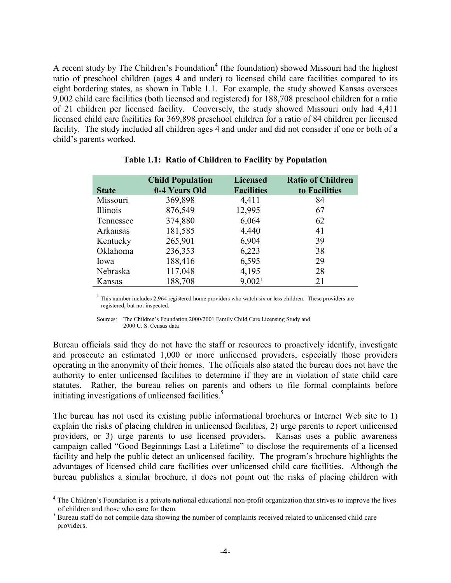A recent study by The Children's Foundation<sup>4</sup> (the foundation) showed Missouri had the highest ratio of preschool children (ages 4 and under) to licensed child care facilities compared to its eight bordering states, as shown in Table 1.1. For example, the study showed Kansas oversees 9,002 child care facilities (both licensed and registered) for 188,708 preschool children for a ratio of 21 children per licensed facility. Conversely, the study showed Missouri only had 4,411 licensed child care facilities for 369,898 preschool children for a ratio of 84 children per licensed facility. The study included all children ages 4 and under and did not consider if one or both of a child's parents worked.

| <b>State</b> | <b>Child Population</b><br>0-4 Years Old | <b>Licensed</b><br><b>Facilities</b> | <b>Ratio of Children</b><br>to Facilities |
|--------------|------------------------------------------|--------------------------------------|-------------------------------------------|
| Missouri     | 369,898                                  | 4,411                                | 84                                        |
|              |                                          |                                      |                                           |
| Illinois     | 876,549                                  | 12,995                               | 67                                        |
| Tennessee    | 374,880                                  | 6,064                                | 62                                        |
| Arkansas     | 181,585                                  | 4,440                                | 41                                        |
| Kentucky     | 265,901                                  | 6,904                                | 39                                        |
| Oklahoma     | 236,353                                  | 6,223                                | 38                                        |
| Iowa         | 188,416                                  | 6,595                                | 29                                        |
| Nebraska     | 117,048                                  | 4,195                                | 28                                        |
| Kansas       | 188,708                                  | 9,002 <sup>1</sup>                   | 21                                        |

#### **Table 1.1: Ratio of Children to Facility by Population**

 $1$ . This number includes 2,964 registered home providers who watch six or less children. These providers are registered, but not inspected.

Sources: The Children's Foundation 2000/2001 Family Child Care Licensing Study and 2000 U. S. Census data

Bureau officials said they do not have the staff or resources to proactively identify, investigate and prosecute an estimated 1,000 or more unlicensed providers, especially those providers operating in the anonymity of their homes. The officials also stated the bureau does not have the authority to enter unlicensed facilities to determine if they are in violation of state child care statutes. Rather, the bureau relies on parents and others to file formal complaints before initiating investigations of unlicensed facilities.<sup>5</sup>

The bureau has not used its existing public informational brochures or Internet Web site to 1) explain the risks of placing children in unlicensed facilities, 2) urge parents to report unlicensed providers, or 3) urge parents to use licensed providers. Kansas uses a public awareness campaign called "Good Beginnings Last a Lifetime" to disclose the requirements of a licensed facility and help the public detect an unlicensed facility. The program's brochure highlights the advantages of licensed child care facilities over unlicensed child care facilities. Although the bureau publishes a similar brochure, it does not point out the risks of placing children with

1

<sup>&</sup>lt;sup>4</sup> The Children's Foundation is a private national educational non-profit organization that strives to improve the lives of children and those who care for them.

 $<sup>5</sup>$  Bureau staff do not compile data showing the number of complaints received related to unlicensed child care</sup> providers.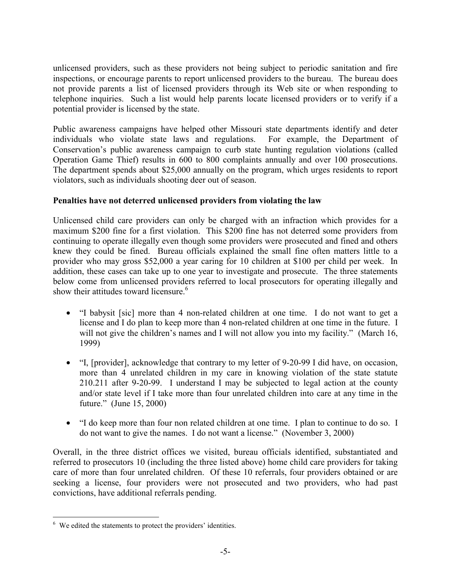unlicensed providers, such as these providers not being subject to periodic sanitation and fire inspections, or encourage parents to report unlicensed providers to the bureau. The bureau does not provide parents a list of licensed providers through its Web site or when responding to telephone inquiries. Such a list would help parents locate licensed providers or to verify if a potential provider is licensed by the state.

Public awareness campaigns have helped other Missouri state departments identify and deter individuals who violate state laws and regulations. For example, the Department of Conservation's public awareness campaign to curb state hunting regulation violations (called Operation Game Thief) results in 600 to 800 complaints annually and over 100 prosecutions. The department spends about \$25,000 annually on the program, which urges residents to report violators, such as individuals shooting deer out of season.

#### **Penalties have not deterred unlicensed providers from violating the law**

Unlicensed child care providers can only be charged with an infraction which provides for a maximum \$200 fine for a first violation. This \$200 fine has not deterred some providers from continuing to operate illegally even though some providers were prosecuted and fined and others knew they could be fined. Bureau officials explained the small fine often matters little to a provider who may gross \$52,000 a year caring for 10 children at \$100 per child per week. In addition, these cases can take up to one year to investigate and prosecute. The three statements below come from unlicensed providers referred to local prosecutors for operating illegally and show their attitudes toward licensure.<sup>6</sup>

- "I babysit [sic] more than 4 non-related children at one time. I do not want to get a license and I do plan to keep more than 4 non-related children at one time in the future. I will not give the children's names and I will not allow you into my facility." (March 16, 1999)
- "I, [provider], acknowledge that contrary to my letter of 9-20-99 I did have, on occasion, more than 4 unrelated children in my care in knowing violation of the state statute 210.211 after 9-20-99. I understand I may be subjected to legal action at the county and/or state level if I take more than four unrelated children into care at any time in the future." (June 15, 2000)
- "I do keep more than four non related children at one time. I plan to continue to do so. I do not want to give the names. I do not want a license." (November 3, 2000)

Overall, in the three district offices we visited, bureau officials identified, substantiated and referred to prosecutors 10 (including the three listed above) home child care providers for taking care of more than four unrelated children. Of these 10 referrals, four providers obtained or are seeking a license, four providers were not prosecuted and two providers, who had past convictions, have additional referrals pending.

 $\overline{a}$ 

<sup>&</sup>lt;sup>6</sup> We edited the statements to protect the providers' identities.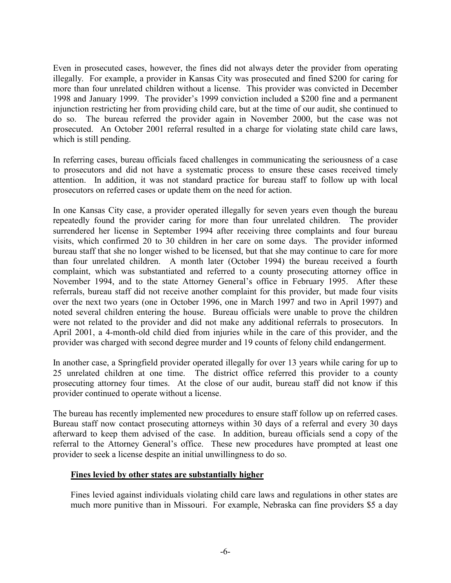Even in prosecuted cases, however, the fines did not always deter the provider from operating illegally. For example, a provider in Kansas City was prosecuted and fined \$200 for caring for more than four unrelated children without a license. This provider was convicted in December 1998 and January 1999. The provider's 1999 conviction included a \$200 fine and a permanent injunction restricting her from providing child care, but at the time of our audit, she continued to do so. The bureau referred the provider again in November 2000, but the case was not prosecuted. An October 2001 referral resulted in a charge for violating state child care laws, which is still pending.

In referring cases, bureau officials faced challenges in communicating the seriousness of a case to prosecutors and did not have a systematic process to ensure these cases received timely attention. In addition, it was not standard practice for bureau staff to follow up with local prosecutors on referred cases or update them on the need for action.

In one Kansas City case, a provider operated illegally for seven years even though the bureau repeatedly found the provider caring for more than four unrelated children. The provider surrendered her license in September 1994 after receiving three complaints and four bureau visits, which confirmed 20 to 30 children in her care on some days. The provider informed bureau staff that she no longer wished to be licensed, but that she may continue to care for more than four unrelated children. A month later (October 1994) the bureau received a fourth complaint, which was substantiated and referred to a county prosecuting attorney office in November 1994, and to the state Attorney General's office in February 1995. After these referrals, bureau staff did not receive another complaint for this provider, but made four visits over the next two years (one in October 1996, one in March 1997 and two in April 1997) and noted several children entering the house. Bureau officials were unable to prove the children were not related to the provider and did not make any additional referrals to prosecutors. In April 2001, a 4-month-old child died from injuries while in the care of this provider, and the provider was charged with second degree murder and 19 counts of felony child endangerment.

In another case, a Springfield provider operated illegally for over 13 years while caring for up to 25 unrelated children at one time. The district office referred this provider to a county prosecuting attorney four times. At the close of our audit, bureau staff did not know if this provider continued to operate without a license.

The bureau has recently implemented new procedures to ensure staff follow up on referred cases. Bureau staff now contact prosecuting attorneys within 30 days of a referral and every 30 days afterward to keep them advised of the case. In addition, bureau officials send a copy of the referral to the Attorney General's office. These new procedures have prompted at least one provider to seek a license despite an initial unwillingness to do so.

#### **Fines levied by other states are substantially higher**

Fines levied against individuals violating child care laws and regulations in other states are much more punitive than in Missouri. For example, Nebraska can fine providers \$5 a day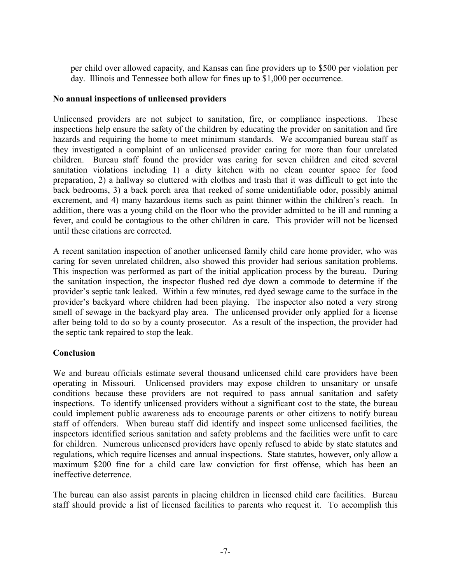per child over allowed capacity, and Kansas can fine providers up to \$500 per violation per day. Illinois and Tennessee both allow for fines up to \$1,000 per occurrence.

#### **No annual inspections of unlicensed providers**

Unlicensed providers are not subject to sanitation, fire, or compliance inspections. These inspections help ensure the safety of the children by educating the provider on sanitation and fire hazards and requiring the home to meet minimum standards. We accompanied bureau staff as they investigated a complaint of an unlicensed provider caring for more than four unrelated children. Bureau staff found the provider was caring for seven children and cited several sanitation violations including 1) a dirty kitchen with no clean counter space for food preparation, 2) a hallway so cluttered with clothes and trash that it was difficult to get into the back bedrooms, 3) a back porch area that reeked of some unidentifiable odor, possibly animal excrement, and 4) many hazardous items such as paint thinner within the children's reach. In addition, there was a young child on the floor who the provider admitted to be ill and running a fever, and could be contagious to the other children in care. This provider will not be licensed until these citations are corrected.

A recent sanitation inspection of another unlicensed family child care home provider, who was caring for seven unrelated children, also showed this provider had serious sanitation problems. This inspection was performed as part of the initial application process by the bureau. During the sanitation inspection, the inspector flushed red dye down a commode to determine if the provider's septic tank leaked. Within a few minutes, red dyed sewage came to the surface in the provider's backyard where children had been playing. The inspector also noted a very strong smell of sewage in the backyard play area. The unlicensed provider only applied for a license after being told to do so by a county prosecutor. As a result of the inspection, the provider had the septic tank repaired to stop the leak.

#### **Conclusion**

We and bureau officials estimate several thousand unlicensed child care providers have been operating in Missouri. Unlicensed providers may expose children to unsanitary or unsafe conditions because these providers are not required to pass annual sanitation and safety inspections. To identify unlicensed providers without a significant cost to the state, the bureau could implement public awareness ads to encourage parents or other citizens to notify bureau staff of offenders. When bureau staff did identify and inspect some unlicensed facilities, the inspectors identified serious sanitation and safety problems and the facilities were unfit to care for children. Numerous unlicensed providers have openly refused to abide by state statutes and regulations, which require licenses and annual inspections. State statutes, however, only allow a maximum \$200 fine for a child care law conviction for first offense, which has been an ineffective deterrence.

The bureau can also assist parents in placing children in licensed child care facilities. Bureau staff should provide a list of licensed facilities to parents who request it. To accomplish this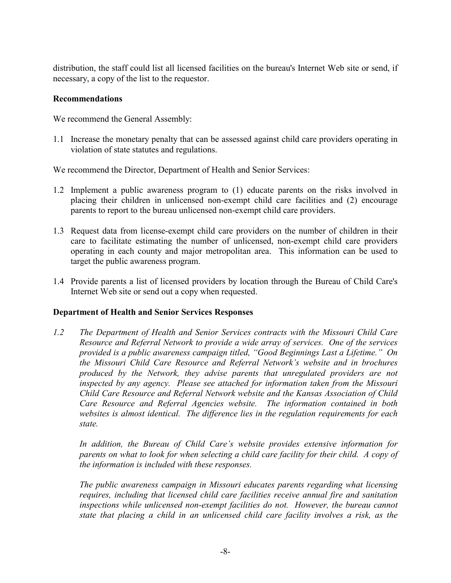distribution, the staff could list all licensed facilities on the bureau's Internet Web site or send, if necessary, a copy of the list to the requestor.

#### **Recommendations**

We recommend the General Assembly:

1.1 Increase the monetary penalty that can be assessed against child care providers operating in violation of state statutes and regulations.

We recommend the Director, Department of Health and Senior Services:

- 1.2 Implement a public awareness program to (1) educate parents on the risks involved in placing their children in unlicensed non-exempt child care facilities and (2) encourage parents to report to the bureau unlicensed non-exempt child care providers.
- 1.3 Request data from license-exempt child care providers on the number of children in their care to facilitate estimating the number of unlicensed, non-exempt child care providers operating in each county and major metropolitan area. This information can be used to target the public awareness program.
- 1.4 Provide parents a list of licensed providers by location through the Bureau of Child Care's Internet Web site or send out a copy when requested.

#### **Department of Health and Senior Services Responses**

*1.2 The Department of Health and Senior Services contracts with the Missouri Child Care Resource and Referral Network to provide a wide array of services. One of the services provided is a public awareness campaign titled, "Good Beginnings Last a Lifetime." On the Missouri Child Care Resource and Referral Network's website and in brochures produced by the Network, they advise parents that unregulated providers are not inspected by any agency. Please see attached for information taken from the Missouri Child Care Resource and Referral Network website and the Kansas Association of Child Care Resource and Referral Agencies website. The information contained in both websites is almost identical. The difference lies in the regulation requirements for each state.*

*In addition, the Bureau of Child Care's website provides extensive information for parents on what to look for when selecting a child care facility for their child. A copy of the information is included with these responses.* 

*The public awareness campaign in Missouri educates parents regarding what licensing requires, including that licensed child care facilities receive annual fire and sanitation*  inspections while unlicensed non-exempt facilities do not. However, the bureau cannot *state that placing a child in an unlicensed child care facility involves a risk, as the*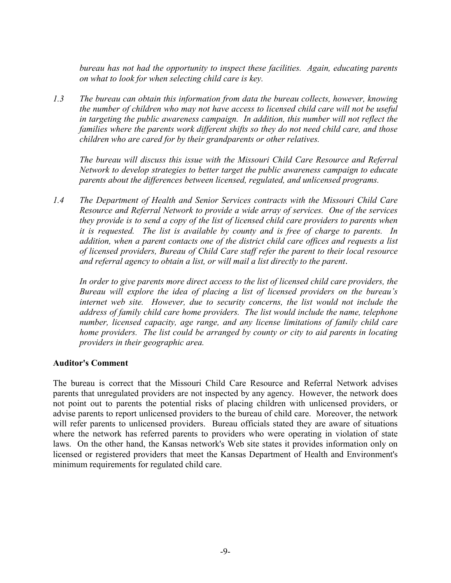*bureau has not had the opportunity to inspect these facilities. Again, educating parents on what to look for when selecting child care is key.* 

*1.3 The bureau can obtain this information from data the bureau collects, however, knowing the number of children who may not have access to licensed child care will not be useful*  in targeting the public awareness campaign. In addition, this number will not reflect the *families where the parents work different shifts so they do not need child care, and those children who are cared for by their grandparents or other relatives.* 

*The bureau will discuss this issue with the Missouri Child Care Resource and Referral Network to develop strategies to better target the public awareness campaign to educate parents about the differences between licensed, regulated, and unlicensed programs.* 

*1.4 The Department of Health and Senior Services contracts with the Missouri Child Care Resource and Referral Network to provide a wide array of services. One of the services they provide is to send a copy of the list of licensed child care providers to parents when it is requested. The list is available by county and is free of charge to parents. In addition, when a parent contacts one of the district child care offices and requests a list of licensed providers, Bureau of Child Care staff refer the parent to their local resource and referral agency to obtain a list, or will mail a list directly to the parent*.

*In order to give parents more direct access to the list of licensed child care providers, the Bureau will explore the idea of placing a list of licensed providers on the bureau's internet web site. However, due to security concerns, the list would not include the address of family child care home providers. The list would include the name, telephone number, licensed capacity, age range, and any license limitations of family child care home providers. The list could be arranged by county or city to aid parents in locating providers in their geographic area.*

#### **Auditor's Comment**

The bureau is correct that the Missouri Child Care Resource and Referral Network advises parents that unregulated providers are not inspected by any agency. However, the network does not point out to parents the potential risks of placing children with unlicensed providers, or advise parents to report unlicensed providers to the bureau of child care. Moreover, the network will refer parents to unlicensed providers. Bureau officials stated they are aware of situations where the network has referred parents to providers who were operating in violation of state laws. On the other hand, the Kansas network's Web site states it provides information only on licensed or registered providers that meet the Kansas Department of Health and Environment's minimum requirements for regulated child care.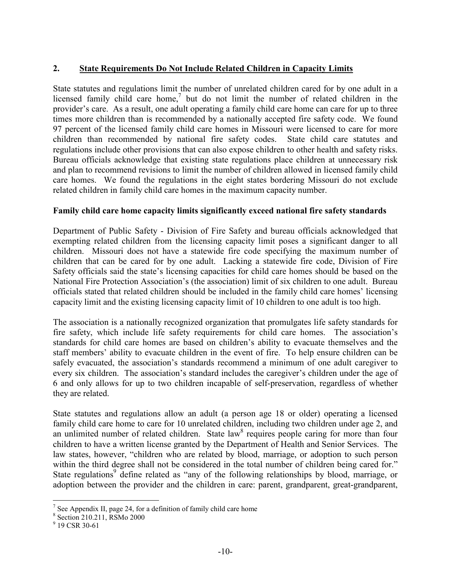#### **2. State Requirements Do Not Include Related Children in Capacity Limits**

State statutes and regulations limit the number of unrelated children cared for by one adult in a licensed family child care home,<sup>7</sup> but do not limit the number of related children in the provider's care. As a result, one adult operating a family child care home can care for up to three times more children than is recommended by a nationally accepted fire safety code. We found 97 percent of the licensed family child care homes in Missouri were licensed to care for more children than recommended by national fire safety codes. State child care statutes and regulations include other provisions that can also expose children to other health and safety risks. Bureau officials acknowledge that existing state regulations place children at unnecessary risk and plan to recommend revisions to limit the number of children allowed in licensed family child care homes. We found the regulations in the eight states bordering Missouri do not exclude related children in family child care homes in the maximum capacity number.

#### **Family child care home capacity limits significantly exceed national fire safety standards**

Department of Public Safety - Division of Fire Safety and bureau officials acknowledged that exempting related children from the licensing capacity limit poses a significant danger to all children. Missouri does not have a statewide fire code specifying the maximum number of children that can be cared for by one adult. Lacking a statewide fire code, Division of Fire Safety officials said the state's licensing capacities for child care homes should be based on the National Fire Protection Association's (the association) limit of six children to one adult. Bureau officials stated that related children should be included in the family child care homes' licensing capacity limit and the existing licensing capacity limit of 10 children to one adult is too high.

The association is a nationally recognized organization that promulgates life safety standards for fire safety, which include life safety requirements for child care homes. The association's standards for child care homes are based on children's ability to evacuate themselves and the staff members' ability to evacuate children in the event of fire. To help ensure children can be safely evacuated, the association's standards recommend a minimum of one adult caregiver to every six children. The association's standard includes the caregiver's children under the age of 6 and only allows for up to two children incapable of self-preservation, regardless of whether they are related.

State statutes and regulations allow an adult (a person age 18 or older) operating a licensed family child care home to care for 10 unrelated children, including two children under age 2, and an unlimited number of related children. State law<sup>8</sup> requires people caring for more than four children to have a written license granted by the Department of Health and Senior Services. The law states, however, "children who are related by blood, marriage, or adoption to such person within the third degree shall not be considered in the total number of children being cared for." State regulations<sup>9</sup> define related as "any of the following relationships by blood, marriage, or adoption between the provider and the children in care: parent, grandparent, great-grandparent,

1

<sup>&</sup>lt;sup>7</sup> See Appendix II, page 24, for a definition of family child care home

<sup>8</sup> Section 210.211, RSMo 2000

<sup>&</sup>lt;sup>9</sup> 19 CSR 30-61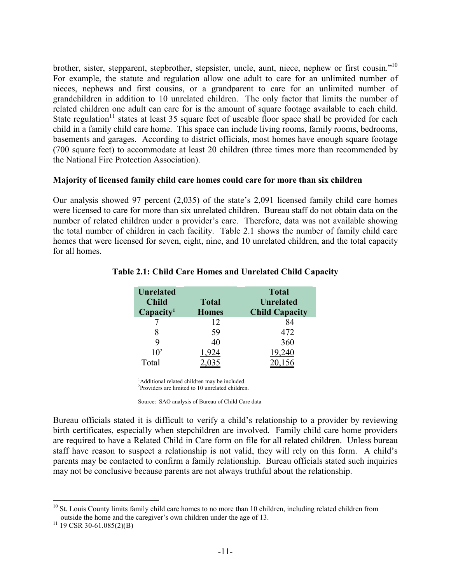brother, sister, stepparent, stepbrother, stepsister, uncle, aunt, niece, nephew or first cousin."10 For example, the statute and regulation allow one adult to care for an unlimited number of nieces, nephews and first cousins, or a grandparent to care for an unlimited number of grandchildren in addition to 10 unrelated children. The only factor that limits the number of related children one adult can care for is the amount of square footage available to each child. State regulation<sup>11</sup> states at least 35 square feet of useable floor space shall be provided for each child in a family child care home. This space can include living rooms, family rooms, bedrooms, basements and garages. According to district officials, most homes have enough square footage (700 square feet) to accommodate at least 20 children (three times more than recommended by the National Fire Protection Association).

#### **Majority of licensed family child care homes could care for more than six children**

Our analysis showed 97 percent (2,035) of the state's 2,091 licensed family child care homes were licensed to care for more than six unrelated children. Bureau staff do not obtain data on the number of related children under a provider's care. Therefore, data was not available showing the total number of children in each facility. Table 2.1 shows the number of family child care homes that were licensed for seven, eight, nine, and 10 unrelated children, and the total capacity for all homes.

| Unrelated             |              | <b>Total</b>          |
|-----------------------|--------------|-----------------------|
| <b>Child</b>          | <b>Total</b> | <b>Unrelated</b>      |
| Capacity <sup>1</sup> | <b>Homes</b> | <b>Child Capacity</b> |
|                       | 12           | 84                    |
|                       | 59           | 472                   |
| 9                     | 40           | 360                   |
| 10 <sup>2</sup>       | 1.924        | 19,240                |
| Total                 |              |                       |

#### **Table 2.1: Child Care Homes and Unrelated Child Capacity**

<sup>1</sup>Additional related children may be included.

2 Providers are limited to 10 unrelated children.

Source: SAO analysis of Bureau of Child Care data

Bureau officials stated it is difficult to verify a child's relationship to a provider by reviewing birth certificates, especially when stepchildren are involved. Family child care home providers are required to have a Related Child in Care form on file for all related children. Unless bureau staff have reason to suspect a relationship is not valid, they will rely on this form. A child's parents may be contacted to confirm a family relationship. Bureau officials stated such inquiries may not be conclusive because parents are not always truthful about the relationship.

 $\overline{a}$ <sup>10</sup> St. Louis County limits family child care homes to no more than 10 children, including related children from outside the home and the caregiver's own children under the age of 13. <sup>11</sup> 19 CSR 30-61.085(2)(B)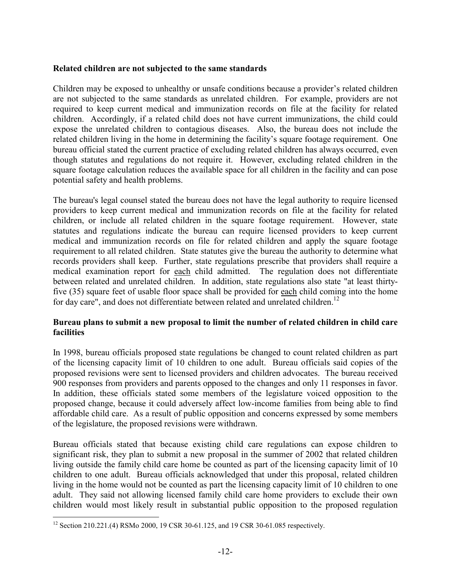#### **Related children are not subjected to the same standards**

Children may be exposed to unhealthy or unsafe conditions because a provider's related children are not subjected to the same standards as unrelated children. For example, providers are not required to keep current medical and immunization records on file at the facility for related children. Accordingly, if a related child does not have current immunizations, the child could expose the unrelated children to contagious diseases. Also, the bureau does not include the related children living in the home in determining the facility's square footage requirement. One bureau official stated the current practice of excluding related children has always occurred, even though statutes and regulations do not require it. However, excluding related children in the square footage calculation reduces the available space for all children in the facility and can pose potential safety and health problems.

The bureau's legal counsel stated the bureau does not have the legal authority to require licensed providers to keep current medical and immunization records on file at the facility for related children, or include all related children in the square footage requirement. However, state statutes and regulations indicate the bureau can require licensed providers to keep current medical and immunization records on file for related children and apply the square footage requirement to all related children. State statutes give the bureau the authority to determine what records providers shall keep. Further, state regulations prescribe that providers shall require a medical examination report for each child admitted. The regulation does not differentiate between related and unrelated children. In addition, state regulations also state "at least thirtyfive (35) square feet of usable floor space shall be provided for each child coming into the home for day care", and does not differentiate between related and unrelated children.<sup>12</sup>

#### **Bureau plans to submit a new proposal to limit the number of related children in child care facilities**

In 1998, bureau officials proposed state regulations be changed to count related children as part of the licensing capacity limit of 10 children to one adult. Bureau officials said copies of the proposed revisions were sent to licensed providers and children advocates. The bureau received 900 responses from providers and parents opposed to the changes and only 11 responses in favor. In addition, these officials stated some members of the legislature voiced opposition to the proposed change, because it could adversely affect low-income families from being able to find affordable child care. As a result of public opposition and concerns expressed by some members of the legislature, the proposed revisions were withdrawn.

Bureau officials stated that because existing child care regulations can expose children to significant risk, they plan to submit a new proposal in the summer of 2002 that related children living outside the family child care home be counted as part of the licensing capacity limit of 10 children to one adult. Bureau officials acknowledged that under this proposal, related children living in the home would not be counted as part the licensing capacity limit of 10 children to one adult. They said not allowing licensed family child care home providers to exclude their own children would most likely result in substantial public opposition to the proposed regulation

<sup>1</sup> <sup>12</sup> Section 210.221.(4) RSMo 2000, 19 CSR 30-61.125, and 19 CSR 30-61.085 respectively.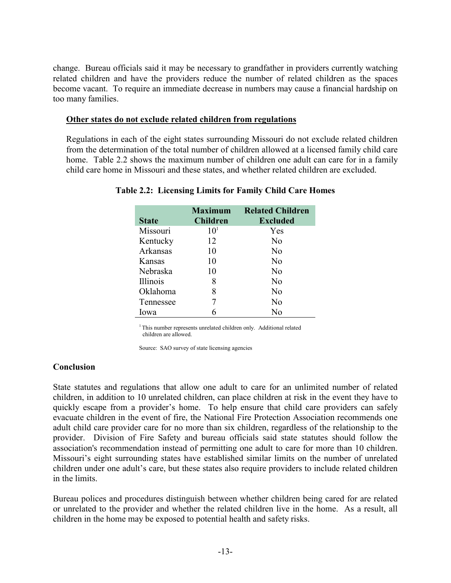change. Bureau officials said it may be necessary to grandfather in providers currently watching related children and have the providers reduce the number of related children as the spaces become vacant. To require an immediate decrease in numbers may cause a financial hardship on too many families.

#### **Other states do not exclude related children from regulations**

Regulations in each of the eight states surrounding Missouri do not exclude related children from the determination of the total number of children allowed at a licensed family child care home. Table 2.2 shows the maximum number of children one adult can care for in a family child care home in Missouri and these states, and whether related children are excluded.

|              | Maximum         | <b>Related Children</b> |
|--------------|-----------------|-------------------------|
| <b>State</b> | <b>Children</b> | <b>Excluded</b>         |
| Missouri     | 10 <sup>1</sup> | Yes                     |
| Kentucky     | 12              | No                      |
| Arkansas     | 10              | No                      |
| Kansas       | 10              | No                      |
| Nebraska     | 10              | No                      |
| Illinois     | 8               | N <sub>0</sub>          |
| Oklahoma     | 8               | N <sub>0</sub>          |
| Tennessee    |                 | N <sub>0</sub>          |
| lowa         |                 | No                      |

#### **Table 2.2: Licensing Limits for Family Child Care Homes**

<sup>1</sup> This number represents unrelated children only. Additional related children are allowed.

Source: SAO survey of state licensing agencies

#### **Conclusion**

State statutes and regulations that allow one adult to care for an unlimited number of related children, in addition to 10 unrelated children, can place children at risk in the event they have to quickly escape from a provider's home. To help ensure that child care providers can safely evacuate children in the event of fire, the National Fire Protection Association recommends one adult child care provider care for no more than six children, regardless of the relationship to the provider. Division of Fire Safety and bureau officials said state statutes should follow the association's recommendation instead of permitting one adult to care for more than 10 children. Missouri's eight surrounding states have established similar limits on the number of unrelated children under one adult's care, but these states also require providers to include related children in the limits.

Bureau polices and procedures distinguish between whether children being cared for are related or unrelated to the provider and whether the related children live in the home. As a result, all children in the home may be exposed to potential health and safety risks.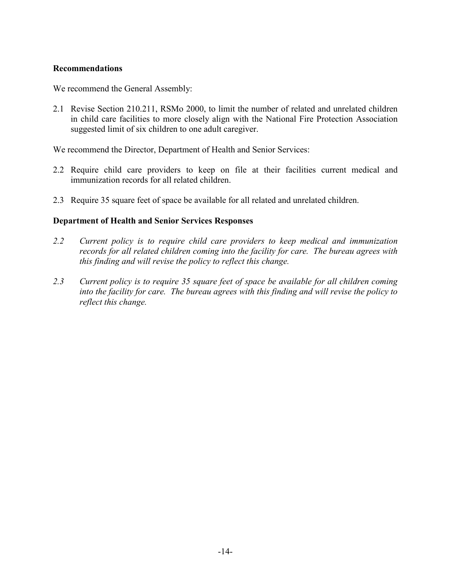#### **Recommendations**

We recommend the General Assembly:

2.1 Revise Section 210.211, RSMo 2000, to limit the number of related and unrelated children in child care facilities to more closely align with the National Fire Protection Association suggested limit of six children to one adult caregiver.

We recommend the Director, Department of Health and Senior Services:

- 2.2 Require child care providers to keep on file at their facilities current medical and immunization records for all related children.
- 2.3 Require 35 square feet of space be available for all related and unrelated children.

#### **Department of Health and Senior Services Responses**

- *2.2 Current policy is to require child care providers to keep medical and immunization records for all related children coming into the facility for care. The bureau agrees with this finding and will revise the policy to reflect this change.*
- *2.3 Current policy is to require 35 square feet of space be available for all children coming into the facility for care. The bureau agrees with this finding and will revise the policy to reflect this change.*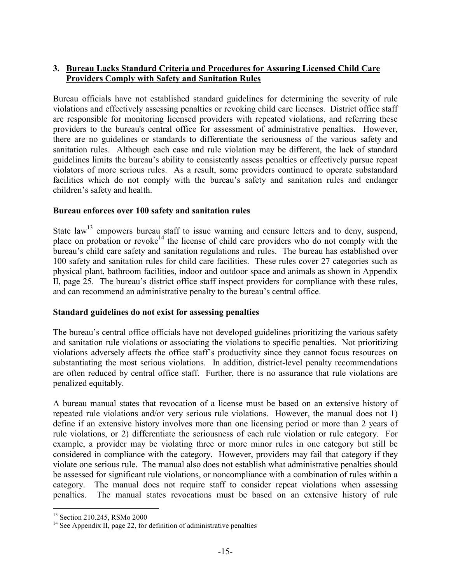#### **3. Bureau Lacks Standard Criteria and Procedures for Assuring Licensed Child Care Providers Comply with Safety and Sanitation Rules**

Bureau officials have not established standard guidelines for determining the severity of rule violations and effectively assessing penalties or revoking child care licenses. District office staff are responsible for monitoring licensed providers with repeated violations, and referring these providers to the bureau's central office for assessment of administrative penalties. However, there are no guidelines or standards to differentiate the seriousness of the various safety and sanitation rules. Although each case and rule violation may be different, the lack of standard guidelines limits the bureau's ability to consistently assess penalties or effectively pursue repeat violators of more serious rules. As a result, some providers continued to operate substandard facilities which do not comply with the bureau's safety and sanitation rules and endanger children's safety and health.

#### **Bureau enforces over 100 safety and sanitation rules**

State law<sup>13</sup> empowers bureau staff to issue warning and censure letters and to deny, suspend, place on probation or revoke<sup>14</sup> the license of child care providers who do not comply with the bureau's child care safety and sanitation regulations and rules. The bureau has established over 100 safety and sanitation rules for child care facilities. These rules cover 27 categories such as physical plant, bathroom facilities, indoor and outdoor space and animals as shown in Appendix II, page 25. The bureau's district office staff inspect providers for compliance with these rules, and can recommend an administrative penalty to the bureau's central office.

#### **Standard guidelines do not exist for assessing penalties**

The bureau's central office officials have not developed guidelines prioritizing the various safety and sanitation rule violations or associating the violations to specific penalties. Not prioritizing violations adversely affects the office staff's productivity since they cannot focus resources on substantiating the most serious violations. In addition, district-level penalty recommendations are often reduced by central office staff. Further, there is no assurance that rule violations are penalized equitably.

A bureau manual states that revocation of a license must be based on an extensive history of repeated rule violations and/or very serious rule violations. However, the manual does not 1) define if an extensive history involves more than one licensing period or more than 2 years of rule violations, or 2) differentiate the seriousness of each rule violation or rule category. For example, a provider may be violating three or more minor rules in one category but still be considered in compliance with the category. However, providers may fail that category if they violate one serious rule. The manual also does not establish what administrative penalties should be assessed for significant rule violations, or noncompliance with a combination of rules within a category. The manual does not require staff to consider repeat violations when assessing penalties. The manual states revocations must be based on an extensive history of rule

 $\overline{a}$ <sup>13</sup> Section 210.245, RSMo 2000

 $14$  See Appendix II, page 22, for definition of administrative penalties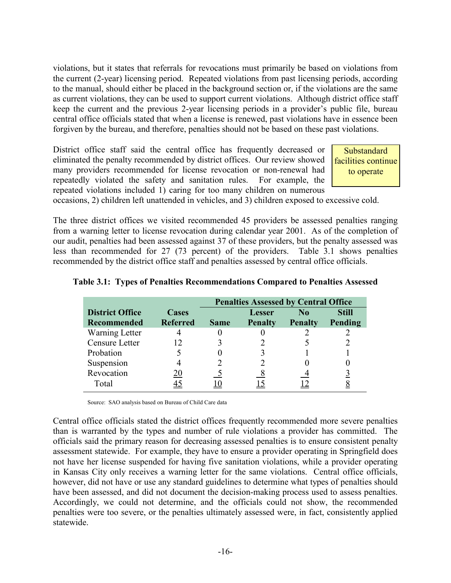violations, but it states that referrals for revocations must primarily be based on violations from the current (2-year) licensing period. Repeated violations from past licensing periods, according to the manual, should either be placed in the background section or, if the violations are the same as current violations, they can be used to support current violations. Although district office staff keep the current and the previous 2-year licensing periods in a provider's public file, bureau central office officials stated that when a license is renewed, past violations have in essence been forgiven by the bureau, and therefore, penalties should not be based on these past violations.

District office staff said the central office has frequently decreased or eliminated the penalty recommended by district offices. Our review showed many providers recommended for license revocation or non-renewal had repeatedly violated the safety and sanitation rules. For example, the repeated violations included 1) caring for too many children on numerous

**Substandard** facilities continue to operate

occasions, 2) children left unattended in vehicles, and 3) children exposed to excessive cold.

The three district offices we visited recommended 45 providers be assessed penalties ranging from a warning letter to license revocation during calendar year 2001. As of the completion of our audit, penalties had been assessed against 37 of these providers, but the penalty assessed was less than recommended for 27 (73 percent) of the providers. Table 3.1 shows penalties recommended by the district office staff and penalties assessed by central office officials.

|                        |                 | <b>Penalties Assessed by Central Office</b> |                |                |              |
|------------------------|-----------------|---------------------------------------------|----------------|----------------|--------------|
| <b>District Office</b> | Cases           |                                             | Lesser         | N <sub>0</sub> | <b>Still</b> |
| <b>Recommended</b>     | <b>Referred</b> | <b>Same</b>                                 | <b>Penalty</b> | <b>Penalty</b> | Pending      |
| Warning Letter         |                 |                                             |                |                |              |
| Censure Letter         | 12              |                                             |                |                |              |
| Probation              |                 |                                             |                |                |              |
| Suspension             |                 |                                             |                |                |              |
| Revocation             | 20              |                                             |                |                |              |
| Total                  |                 |                                             |                |                |              |

|  |  | Table 3.1: Types of Penalties Recommendations Compared to Penalties Assessed |
|--|--|------------------------------------------------------------------------------|
|  |  |                                                                              |

Source: SAO analysis based on Bureau of Child Care data

Central office officials stated the district offices frequently recommended more severe penalties than is warranted by the types and number of rule violations a provider has committed. The officials said the primary reason for decreasing assessed penalties is to ensure consistent penalty assessment statewide. For example, they have to ensure a provider operating in Springfield does not have her license suspended for having five sanitation violations, while a provider operating in Kansas City only receives a warning letter for the same violations. Central office officials, however, did not have or use any standard guidelines to determine what types of penalties should have been assessed, and did not document the decision-making process used to assess penalties. Accordingly, we could not determine, and the officials could not show, the recommended penalties were too severe, or the penalties ultimately assessed were, in fact, consistently applied statewide.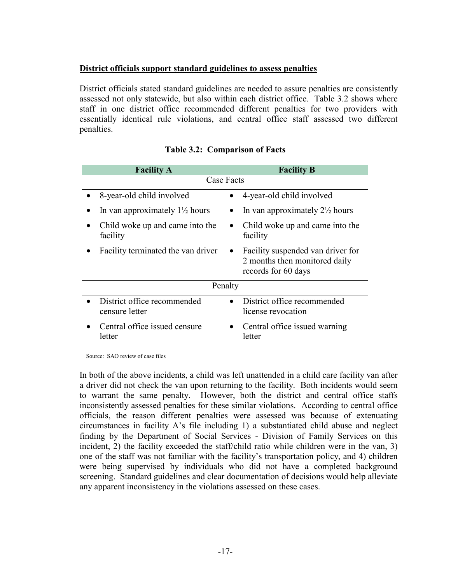#### **District officials support standard guidelines to assess penalties**

District officials stated standard guidelines are needed to assure penalties are consistently assessed not only statewide, but also within each district office. Table 3.2 shows where staff in one district office recommended different penalties for two providers with essentially identical rule violations, and central office staff assessed two different penalties.

| <b>Facility A</b> |                                               |           | <b>Facility B</b>                                                                         |  |  |
|-------------------|-----------------------------------------------|-----------|-------------------------------------------------------------------------------------------|--|--|
|                   | Case Facts                                    |           |                                                                                           |  |  |
|                   | 8-year-old child involved                     |           | 4-year-old child involved                                                                 |  |  |
|                   | In van approximately $1\frac{1}{2}$ hours     |           | In van approximately $2\frac{1}{2}$ hours                                                 |  |  |
|                   | Child woke up and came into the<br>facility   |           | Child woke up and came into the<br>facility                                               |  |  |
|                   | Facility terminated the van driver            | $\bullet$ | Facility suspended van driver for<br>2 months then monitored daily<br>records for 60 days |  |  |
|                   | Penalty                                       |           |                                                                                           |  |  |
|                   | District office recommended<br>censure letter |           | District office recommended<br>license revocation                                         |  |  |
|                   | Central office issued censure<br>letter       |           | Central office issued warning<br>letter                                                   |  |  |

#### **Table 3.2: Comparison of Facts**

Source: SAO review of case files

In both of the above incidents, a child was left unattended in a child care facility van after a driver did not check the van upon returning to the facility. Both incidents would seem to warrant the same penalty. However, both the district and central office staffs inconsistently assessed penalties for these similar violations. According to central office officials, the reason different penalties were assessed was because of extenuating circumstances in facility A's file including 1) a substantiated child abuse and neglect finding by the Department of Social Services - Division of Family Services on this incident, 2) the facility exceeded the staff/child ratio while children were in the van, 3) one of the staff was not familiar with the facility's transportation policy, and 4) children were being supervised by individuals who did not have a completed background screening. Standard guidelines and clear documentation of decisions would help alleviate any apparent inconsistency in the violations assessed on these cases.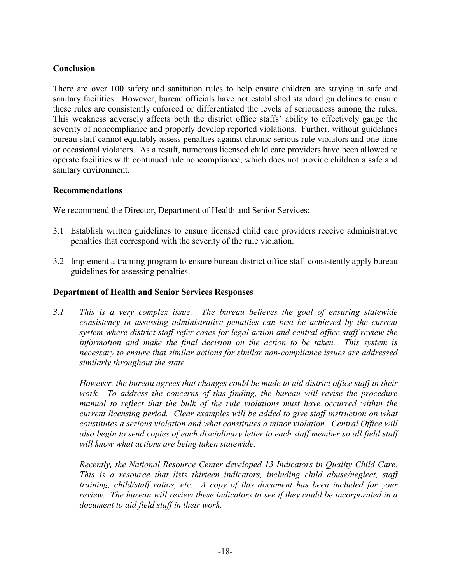#### **Conclusion**

There are over 100 safety and sanitation rules to help ensure children are staying in safe and sanitary facilities. However, bureau officials have not established standard guidelines to ensure these rules are consistently enforced or differentiated the levels of seriousness among the rules. This weakness adversely affects both the district office staffs' ability to effectively gauge the severity of noncompliance and properly develop reported violations. Further, without guidelines bureau staff cannot equitably assess penalties against chronic serious rule violators and one-time or occasional violators. As a result, numerous licensed child care providers have been allowed to operate facilities with continued rule noncompliance, which does not provide children a safe and sanitary environment.

#### **Recommendations**

We recommend the Director, Department of Health and Senior Services:

- 3.1 Establish written guidelines to ensure licensed child care providers receive administrative penalties that correspond with the severity of the rule violation.
- 3.2 Implement a training program to ensure bureau district office staff consistently apply bureau guidelines for assessing penalties.

#### **Department of Health and Senior Services Responses**

*3*.*1 This is a very complex issue. The bureau believes the goal of ensuring statewide consistency in assessing administrative penalties can best be achieved by the current system where district staff refer cases for legal action and central office staff review the information and make the final decision on the action to be taken. This system is necessary to ensure that similar actions for similar non-compliance issues are addressed similarly throughout the state.* 

*However, the bureau agrees that changes could be made to aid district office staff in their*  work. To address the concerns of this finding, the bureau will revise the procedure *manual to reflect that the bulk of the rule violations must have occurred within the current licensing period. Clear examples will be added to give staff instruction on what constitutes a serious violation and what constitutes a minor violation. Central Office will also begin to send copies of each disciplinary letter to each staff member so all field staff will know what actions are being taken statewide.* 

*Recently, the National Resource Center developed 13 Indicators in Quality Child Care. This is a resource that lists thirteen indicators, including child abuse/neglect, staff training, child/staff ratios, etc. A copy of this document has been included for your review. The bureau will review these indicators to see if they could be incorporated in a document to aid field staff in their work.*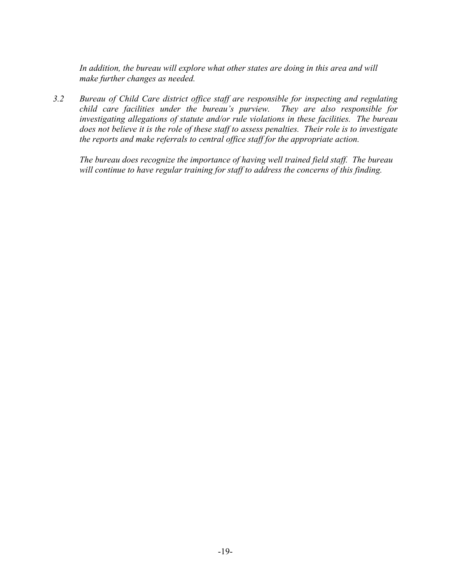*In addition, the bureau will explore what other states are doing in this area and will make further changes as needed.* 

*3.2 Bureau of Child Care district office staff are responsible for inspecting and regulating child care facilities under the bureau's purview. They are also responsible for investigating allegations of statute and/or rule violations in these facilities. The bureau does not believe it is the role of these staff to assess penalties. Their role is to investigate the reports and make referrals to central office staff for the appropriate action.* 

*The bureau does recognize the importance of having well trained field staff. The bureau will continue to have regular training for staff to address the concerns of this finding.*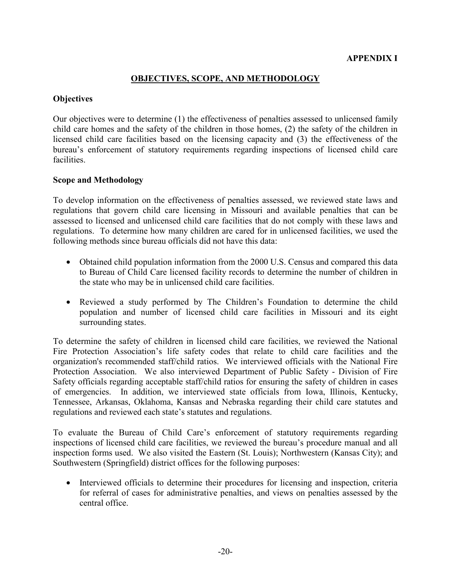#### **OBJECTIVES, SCOPE, AND METHODOLOGY**

#### **Objectives**

Our objectives were to determine (1) the effectiveness of penalties assessed to unlicensed family child care homes and the safety of the children in those homes, (2) the safety of the children in licensed child care facilities based on the licensing capacity and (3) the effectiveness of the bureau's enforcement of statutory requirements regarding inspections of licensed child care facilities.

#### **Scope and Methodology**

To develop information on the effectiveness of penalties assessed, we reviewed state laws and regulations that govern child care licensing in Missouri and available penalties that can be assessed to licensed and unlicensed child care facilities that do not comply with these laws and regulations. To determine how many children are cared for in unlicensed facilities, we used the following methods since bureau officials did not have this data:

- Obtained child population information from the 2000 U.S. Census and compared this data to Bureau of Child Care licensed facility records to determine the number of children in the state who may be in unlicensed child care facilities.
- Reviewed a study performed by The Children's Foundation to determine the child population and number of licensed child care facilities in Missouri and its eight surrounding states.

To determine the safety of children in licensed child care facilities, we reviewed the National Fire Protection Association's life safety codes that relate to child care facilities and the organization's recommended staff/child ratios. We interviewed officials with the National Fire Protection Association. We also interviewed Department of Public Safety - Division of Fire Safety officials regarding acceptable staff/child ratios for ensuring the safety of children in cases of emergencies. In addition, we interviewed state officials from Iowa, Illinois, Kentucky, Tennessee, Arkansas, Oklahoma, Kansas and Nebraska regarding their child care statutes and regulations and reviewed each state's statutes and regulations.

To evaluate the Bureau of Child Care's enforcement of statutory requirements regarding inspections of licensed child care facilities, we reviewed the bureau's procedure manual and all inspection forms used. We also visited the Eastern (St. Louis); Northwestern (Kansas City); and Southwestern (Springfield) district offices for the following purposes:

• Interviewed officials to determine their procedures for licensing and inspection, criteria for referral of cases for administrative penalties, and views on penalties assessed by the central office.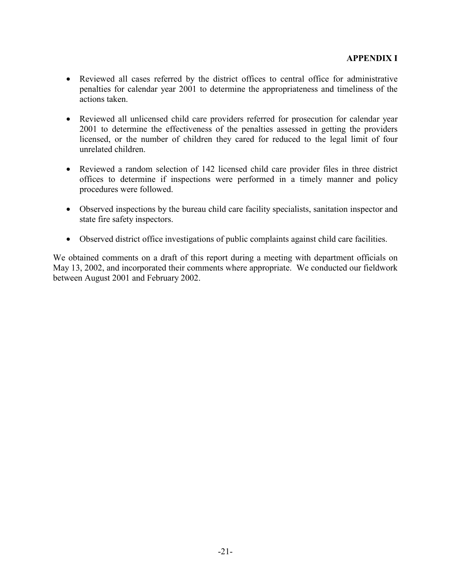- Reviewed all cases referred by the district offices to central office for administrative penalties for calendar year 2001 to determine the appropriateness and timeliness of the actions taken.
- Reviewed all unlicensed child care providers referred for prosecution for calendar year 2001 to determine the effectiveness of the penalties assessed in getting the providers licensed, or the number of children they cared for reduced to the legal limit of four unrelated children.
- Reviewed a random selection of 142 licensed child care provider files in three district offices to determine if inspections were performed in a timely manner and policy procedures were followed.
- Observed inspections by the bureau child care facility specialists, sanitation inspector and state fire safety inspectors.
- Observed district office investigations of public complaints against child care facilities.

We obtained comments on a draft of this report during a meeting with department officials on May 13, 2002, and incorporated their comments where appropriate. We conducted our fieldwork between August 2001 and February 2002.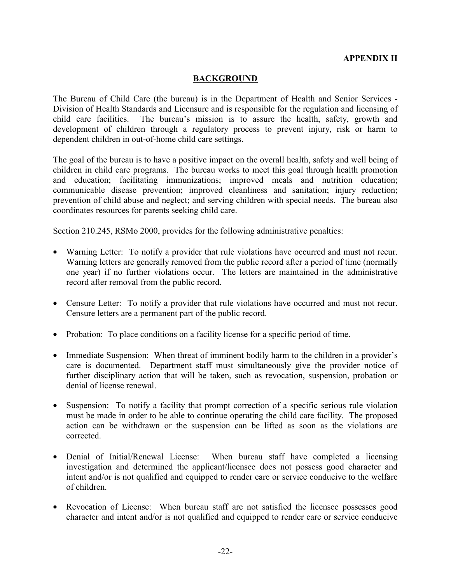#### **APPENDIX II**

#### **BACKGROUND**

The Bureau of Child Care (the bureau) is in the Department of Health and Senior Services - Division of Health Standards and Licensure and is responsible for the regulation and licensing of child care facilities. The bureau's mission is to assure the health, safety, growth and development of children through a regulatory process to prevent injury, risk or harm to dependent children in out-of-home child care settings.

The goal of the bureau is to have a positive impact on the overall health, safety and well being of children in child care programs. The bureau works to meet this goal through health promotion and education; facilitating immunizations; improved meals and nutrition education; communicable disease prevention; improved cleanliness and sanitation; injury reduction; prevention of child abuse and neglect; and serving children with special needs. The bureau also coordinates resources for parents seeking child care.

Section 210.245, RSMo 2000, provides for the following administrative penalties:

- Warning Letter: To notify a provider that rule violations have occurred and must not recur. Warning letters are generally removed from the public record after a period of time (normally one year) if no further violations occur. The letters are maintained in the administrative record after removal from the public record.
- Censure Letter: To notify a provider that rule violations have occurred and must not recur. Censure letters are a permanent part of the public record.
- Probation: To place conditions on a facility license for a specific period of time.
- Immediate Suspension: When threat of imminent bodily harm to the children in a provider's care is documented. Department staff must simultaneously give the provider notice of further disciplinary action that will be taken, such as revocation, suspension, probation or denial of license renewal.
- Suspension: To notify a facility that prompt correction of a specific serious rule violation must be made in order to be able to continue operating the child care facility. The proposed action can be withdrawn or the suspension can be lifted as soon as the violations are corrected.
- Denial of Initial/Renewal License: When bureau staff have completed a licensing investigation and determined the applicant/licensee does not possess good character and intent and/or is not qualified and equipped to render care or service conducive to the welfare of children.
- Revocation of License: When bureau staff are not satisfied the licensee possesses good character and intent and/or is not qualified and equipped to render care or service conducive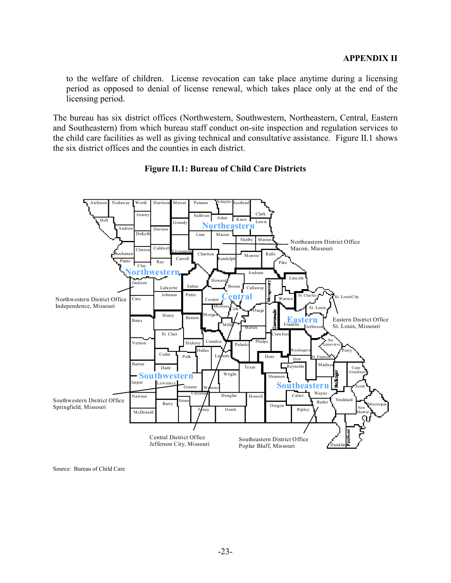to the welfare of children. License revocation can take place anytime during a licensing period as opposed to denial of license renewal, which takes place only at the end of the licensing period.

The bureau has six district offices (Northwestern, Southwestern, Northeastern, Central, Eastern and Southeastern) from which bureau staff conduct on-site inspection and regulation services to the child care facilities as well as giving technical and consultative assistance. Figure II.1 shows the six district offices and the counties in each district.



#### **Figure II.1: Bureau of Child Care Districts**

Source: Bureau of Child Care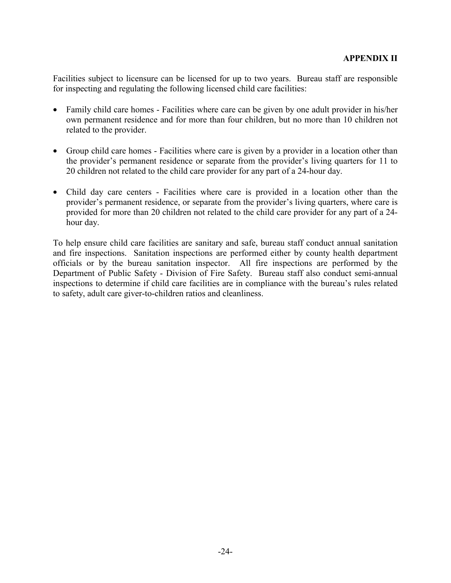Facilities subject to licensure can be licensed for up to two years. Bureau staff are responsible for inspecting and regulating the following licensed child care facilities:

- Family child care homes Facilities where care can be given by one adult provider in his/her own permanent residence and for more than four children, but no more than 10 children not related to the provider.
- Group child care homes Facilities where care is given by a provider in a location other than the provider's permanent residence or separate from the provider's living quarters for 11 to 20 children not related to the child care provider for any part of a 24-hour day.
- Child day care centers Facilities where care is provided in a location other than the provider's permanent residence, or separate from the provider's living quarters, where care is provided for more than 20 children not related to the child care provider for any part of a 24 hour day.

To help ensure child care facilities are sanitary and safe, bureau staff conduct annual sanitation and fire inspections. Sanitation inspections are performed either by county health department officials or by the bureau sanitation inspector. All fire inspections are performed by the Department of Public Safety - Division of Fire Safety. Bureau staff also conduct semi-annual inspections to determine if child care facilities are in compliance with the bureau's rules related to safety, adult care giver-to-children ratios and cleanliness.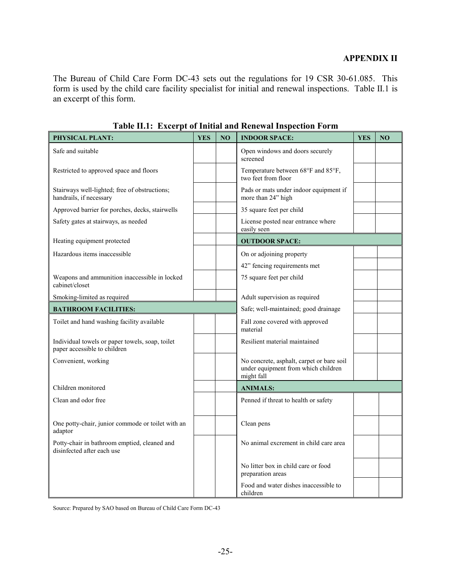#### **APPENDIX II**

The Bureau of Child Care Form DC-43 sets out the regulations for 19 CSR 30-61.085. This form is used by the child care facility specialist for initial and renewal inspections. Table II.1 is an excerpt of this form.

| PHYSICAL PLANT:                                                                 | <b>YES</b> | N <sub>O</sub> | <b>INDOOR SPACE:</b>                                                                           | <b>YES</b> | NO |
|---------------------------------------------------------------------------------|------------|----------------|------------------------------------------------------------------------------------------------|------------|----|
| Safe and suitable                                                               |            |                | Open windows and doors securely<br>screened                                                    |            |    |
| Restricted to approved space and floors                                         |            |                | Temperature between 68°F and 85°F,<br>two feet from floor                                      |            |    |
| Stairways well-lighted; free of obstructions;<br>handrails, if necessary        |            |                | Pads or mats under indoor equipment if<br>more than 24" high                                   |            |    |
| Approved barrier for porches, decks, stairwells                                 |            |                | 35 square feet per child                                                                       |            |    |
| Safety gates at stairways, as needed                                            |            |                | License posted near entrance where<br>easily seen                                              |            |    |
| Heating equipment protected                                                     |            |                | <b>OUTDOOR SPACE:</b>                                                                          |            |    |
| Hazardous items inaccessible                                                    |            |                | On or adjoining property                                                                       |            |    |
|                                                                                 |            |                | 42" fencing requirements met                                                                   |            |    |
| Weapons and ammunition inaccessible in locked<br>cabinet/closet                 |            |                | 75 square feet per child                                                                       |            |    |
| Smoking-limited as required                                                     |            |                | Adult supervision as required                                                                  |            |    |
| <b>BATHROOM FACILITIES:</b>                                                     |            |                | Safe; well-maintained; good drainage                                                           |            |    |
| Toilet and hand washing facility available                                      |            |                | Fall zone covered with approved<br>material                                                    |            |    |
| Individual towels or paper towels, soap, toilet<br>paper accessible to children |            |                | Resilient material maintained                                                                  |            |    |
| Convenient, working                                                             |            |                | No concrete, asphalt, carpet or bare soil<br>under equipment from which children<br>might fall |            |    |
| Children monitored                                                              |            |                | <b>ANIMALS:</b>                                                                                |            |    |
| Clean and odor free                                                             |            |                | Penned if threat to health or safety                                                           |            |    |
| One potty-chair, junior commode or toilet with an<br>adaptor                    |            |                | Clean pens                                                                                     |            |    |
| Potty-chair in bathroom emptied, cleaned and<br>disinfected after each use      |            |                | No animal excrement in child care area                                                         |            |    |
|                                                                                 |            |                | No litter box in child care or food<br>preparation areas                                       |            |    |
|                                                                                 |            |                | Food and water dishes inaccessible to<br>children                                              |            |    |

**Table II.1: Excerpt of Initial and Renewal Inspection Form** 

Source: Prepared by SAO based on Bureau of Child Care Form DC-43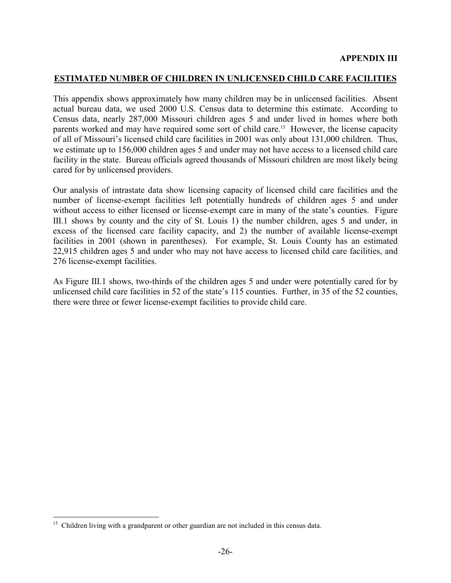#### **ESTIMATED NUMBER OF CHILDREN IN UNLICENSED CHILD CARE FACILITIES**

This appendix shows approximately how many children may be in unlicensed facilities. Absent actual bureau data, we used 2000 U.S. Census data to determine this estimate. According to Census data, nearly 287,000 Missouri children ages 5 and under lived in homes where both parents worked and may have required some sort of child care.<sup>15</sup> However, the license capacity of all of Missouri's licensed child care facilities in 2001 was only about 131,000 children. Thus, we estimate up to 156,000 children ages 5 and under may not have access to a licensed child care facility in the state. Bureau officials agreed thousands of Missouri children are most likely being cared for by unlicensed providers.

Our analysis of intrastate data show licensing capacity of licensed child care facilities and the number of license-exempt facilities left potentially hundreds of children ages 5 and under without access to either licensed or license-exempt care in many of the state's counties. Figure III.1 shows by county and the city of St. Louis 1) the number children, ages 5 and under, in excess of the licensed care facility capacity, and 2) the number of available license-exempt facilities in 2001 (shown in parentheses). For example, St. Louis County has an estimated 22,915 children ages 5 and under who may not have access to licensed child care facilities, and 276 license-exempt facilities.

As Figure III.1 shows, two-thirds of the children ages 5 and under were potentially cared for by unlicensed child care facilities in 52 of the state's 115 counties. Further, in 35 of the 52 counties, there were three or fewer license-exempt facilities to provide child care.

 $\overline{a}$ 

<sup>&</sup>lt;sup>15</sup> Children living with a grandparent or other guardian are not included in this census data.